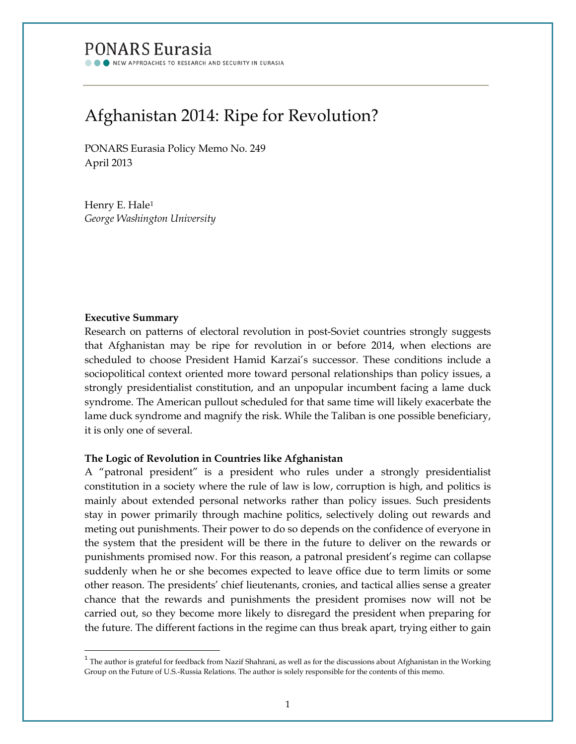## **PONARS Eurasia**

EW APPROACHES TO RESEARCH AND SECURITY IN EURASIA

# Afghanistan 2014: Ripe for Revolution?

PONARS Eurasia Policy Memo No. 249 April 2013

Henry E. Hale[1](#page-0-0) *George Washington University*

## **Executive Summary**

Research on patterns of electoral revolution in post-Soviet countries strongly suggests that Afghanistan may be ripe for revolution in or before 2014, when elections are scheduled to choose President Hamid Karzai's successor. These conditions include a sociopolitical context oriented more toward personal relationships than policy issues, a strongly presidentialist constitution, and an unpopular incumbent facing a lame duck syndrome. The American pullout scheduled for that same time will likely exacerbate the lame duck syndrome and magnify the risk. While the Taliban is one possible beneficiary, it is only one of several.

## **The Logic of Revolution in Countries like Afghanistan**

A "patronal president" is a president who rules under a strongly presidentialist constitution in a society where the rule of law is low, corruption is high, and politics is mainly about extended personal networks rather than policy issues. Such presidents stay in power primarily through machine politics, selectively doling out rewards and meting out punishments. Their power to do so depends on the confidence of everyone in the system that the president will be there in the future to deliver on the rewards or punishments promised now. For this reason, a patronal president's regime can collapse suddenly when he or she becomes expected to leave office due to term limits or some other reason. The presidents' chief lieutenants, cronies, and tactical allies sense a greater chance that the rewards and punishments the president promises now will not be carried out, so they become more likely to disregard the president when preparing for the future. The different factions in the regime can thus break apart, trying either to gain

<span id="page-0-0"></span> $^{\rm 1}$  The author is grateful for feedback from Nazif Shahrani, as well as for the discussions about Afghanistan in the Working Group on the Future of U.S.-Russia Relations. The author is solely responsible for the contents of this memo.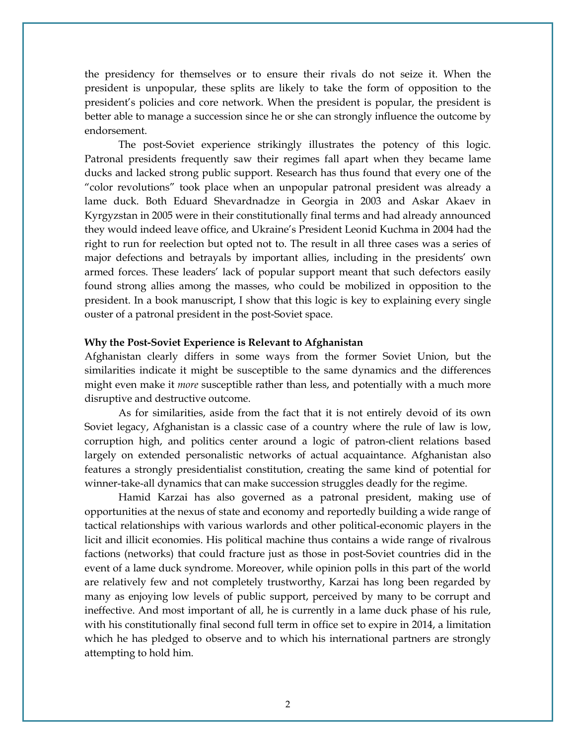the presidency for themselves or to ensure their rivals do not seize it. When the president is unpopular, these splits are likely to take the form of opposition to the president's policies and core network. When the president is popular, the president is better able to manage a succession since he or she can strongly influence the outcome by endorsement.

The post-Soviet experience strikingly illustrates the potency of this logic. Patronal presidents frequently saw their regimes fall apart when they became lame ducks and lacked strong public support. Research has thus found that every one of the "color revolutions" took place when an unpopular patronal president was already a lame duck. Both Eduard Shevardnadze in Georgia in 2003 and Askar Akaev in Kyrgyzstan in 2005 were in their constitutionally final terms and had already announced they would indeed leave office, and Ukraine's President Leonid Kuchma in 2004 had the right to run for reelection but opted not to. The result in all three cases was a series of major defections and betrayals by important allies, including in the presidents' own armed forces. These leaders' lack of popular support meant that such defectors easily found strong allies among the masses, who could be mobilized in opposition to the president. In a book manuscript, I show that this logic is key to explaining every single ouster of a patronal president in the post-Soviet space.

### **Why the Post-Soviet Experience is Relevant to Afghanistan**

Afghanistan clearly differs in some ways from the former Soviet Union, but the similarities indicate it might be susceptible to the same dynamics and the differences might even make it *more* susceptible rather than less, and potentially with a much more disruptive and destructive outcome.

As for similarities, aside from the fact that it is not entirely devoid of its own Soviet legacy, Afghanistan is a classic case of a country where the rule of law is low, corruption high, and politics center around a logic of patron-client relations based largely on extended personalistic networks of actual acquaintance. Afghanistan also features a strongly presidentialist constitution, creating the same kind of potential for winner-take-all dynamics that can make succession struggles deadly for the regime.

Hamid Karzai has also governed as a patronal president, making use of opportunities at the nexus of state and economy and reportedly building a wide range of tactical relationships with various warlords and other political-economic players in the licit and illicit economies. His political machine thus contains a wide range of rivalrous factions (networks) that could fracture just as those in post-Soviet countries did in the event of a lame duck syndrome. Moreover, while opinion polls in this part of the world are relatively few and not completely trustworthy, Karzai has long been regarded by many as enjoying low levels of public support, perceived by many to be corrupt and ineffective. And most important of all, he is currently in a lame duck phase of his rule, with his constitutionally final second full term in office set to expire in 2014, a limitation which he has pledged to observe and to which his international partners are strongly attempting to hold him.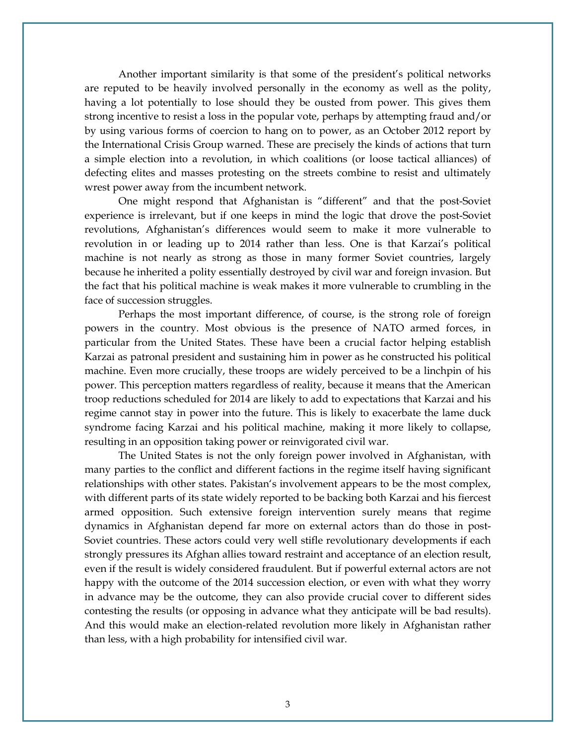Another important similarity is that some of the president's political networks are reputed to be heavily involved personally in the economy as well as the polity, having a lot potentially to lose should they be ousted from power. This gives them strong incentive to resist a loss in the popular vote, perhaps by attempting fraud and/or by using various forms of coercion to hang on to power, as an October 2012 report by the International Crisis Group warned. These are precisely the kinds of actions that turn a simple election into a revolution, in which coalitions (or loose tactical alliances) of defecting elites and masses protesting on the streets combine to resist and ultimately wrest power away from the incumbent network.

One might respond that Afghanistan is "different" and that the post-Soviet experience is irrelevant, but if one keeps in mind the logic that drove the post-Soviet revolutions, Afghanistan's differences would seem to make it more vulnerable to revolution in or leading up to 2014 rather than less. One is that Karzai's political machine is not nearly as strong as those in many former Soviet countries, largely because he inherited a polity essentially destroyed by civil war and foreign invasion. But the fact that his political machine is weak makes it more vulnerable to crumbling in the face of succession struggles.

Perhaps the most important difference, of course, is the strong role of foreign powers in the country. Most obvious is the presence of NATO armed forces, in particular from the United States. These have been a crucial factor helping establish Karzai as patronal president and sustaining him in power as he constructed his political machine. Even more crucially, these troops are widely perceived to be a linchpin of his power. This perception matters regardless of reality, because it means that the American troop reductions scheduled for 2014 are likely to add to expectations that Karzai and his regime cannot stay in power into the future. This is likely to exacerbate the lame duck syndrome facing Karzai and his political machine, making it more likely to collapse, resulting in an opposition taking power or reinvigorated civil war.

The United States is not the only foreign power involved in Afghanistan, with many parties to the conflict and different factions in the regime itself having significant relationships with other states. Pakistan's involvement appears to be the most complex, with different parts of its state widely reported to be backing both Karzai and his fiercest armed opposition. Such extensive foreign intervention surely means that regime dynamics in Afghanistan depend far more on external actors than do those in post-Soviet countries. These actors could very well stifle revolutionary developments if each strongly pressures its Afghan allies toward restraint and acceptance of an election result, even if the result is widely considered fraudulent. But if powerful external actors are not happy with the outcome of the 2014 succession election, or even with what they worry in advance may be the outcome, they can also provide crucial cover to different sides contesting the results (or opposing in advance what they anticipate will be bad results). And this would make an election-related revolution more likely in Afghanistan rather than less, with a high probability for intensified civil war.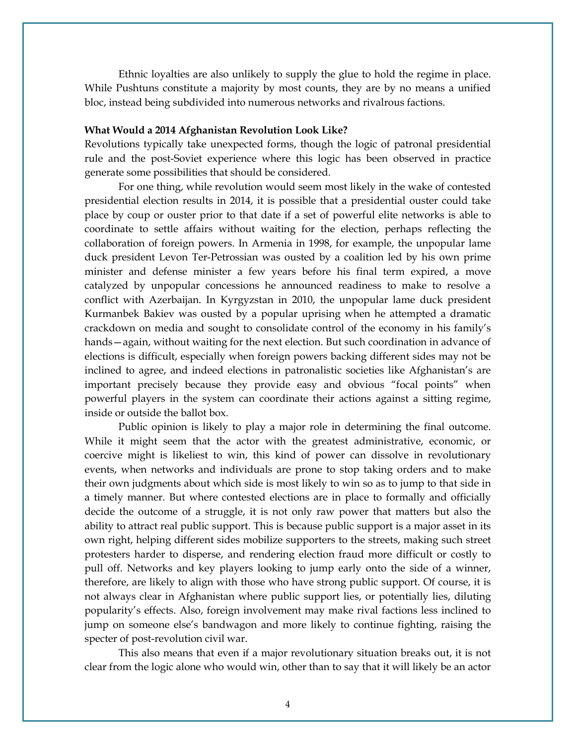Ethnic loyalties are also unlikely to supply the glue to hold the regime in place. While Pushtuns constitute a majority by most counts, they are by no means a unified bloc, instead being subdivided into numerous networks and rivalrous factions.

### **What Would a 2014 Afghanistan Revolution Look Like?**

Revolutions typically take unexpected forms, though the logic of patronal presidential rule and the post-Soviet experience where this logic has been observed in practice generate some possibilities that should be considered.

For one thing, while revolution would seem most likely in the wake of contested presidential election results in 2014, it is possible that a presidential ouster could take place by coup or ouster prior to that date if a set of powerful elite networks is able to coordinate to settle affairs without waiting for the election, perhaps reflecting the collaboration of foreign powers. In Armenia in 1998, for example, the unpopular lame duck president Levon Ter-Petrossian was ousted by a coalition led by his own prime minister and defense minister a few years before his final term expired, a move catalyzed by unpopular concessions he announced readiness to make to resolve a conflict with Azerbaijan. In Kyrgyzstan in 2010, the unpopular lame duck president Kurmanbek Bakiev was ousted by a popular uprising when he attempted a dramatic crackdown on media and sought to consolidate control of the economy in his family's hands—again, without waiting for the next election. But such coordination in advance of elections is difficult, especially when foreign powers backing different sides may not be inclined to agree, and indeed elections in patronalistic societies like Afghanistan's are important precisely because they provide easy and obvious "focal points" when powerful players in the system can coordinate their actions against a sitting regime, inside or outside the ballot box.

Public opinion is likely to play a major role in determining the final outcome. While it might seem that the actor with the greatest administrative, economic, or coercive might is likeliest to win, this kind of power can dissolve in revolutionary events, when networks and individuals are prone to stop taking orders and to make their own judgments about which side is most likely to win so as to jump to that side in a timely manner. But where contested elections are in place to formally and officially decide the outcome of a struggle, it is not only raw power that matters but also the ability to attract real public support. This is because public support is a major asset in its own right, helping different sides mobilize supporters to the streets, making such street protesters harder to disperse, and rendering election fraud more difficult or costly to pull off. Networks and key players looking to jump early onto the side of a winner, therefore, are likely to align with those who have strong public support. Of course, it is not always clear in Afghanistan where public support lies, or potentially lies, diluting popularity's effects. Also, foreign involvement may make rival factions less inclined to jump on someone else's bandwagon and more likely to continue fighting, raising the specter of post-revolution civil war.

This also means that even if a major revolutionary situation breaks out, it is not clear from the logic alone who would win, other than to say that it will likely be an actor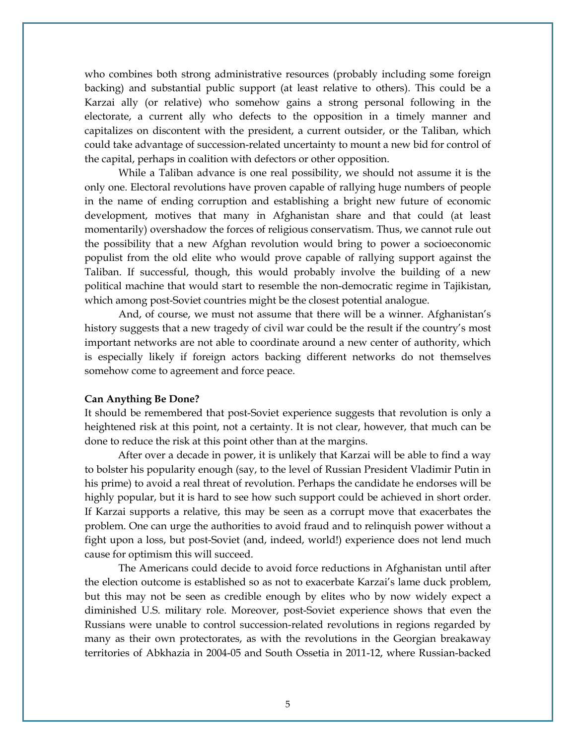who combines both strong administrative resources (probably including some foreign backing) and substantial public support (at least relative to others). This could be a Karzai ally (or relative) who somehow gains a strong personal following in the electorate, a current ally who defects to the opposition in a timely manner and capitalizes on discontent with the president, a current outsider, or the Taliban, which could take advantage of succession-related uncertainty to mount a new bid for control of the capital, perhaps in coalition with defectors or other opposition.

While a Taliban advance is one real possibility, we should not assume it is the only one. Electoral revolutions have proven capable of rallying huge numbers of people in the name of ending corruption and establishing a bright new future of economic development, motives that many in Afghanistan share and that could (at least momentarily) overshadow the forces of religious conservatism. Thus, we cannot rule out the possibility that a new Afghan revolution would bring to power a socioeconomic populist from the old elite who would prove capable of rallying support against the Taliban. If successful, though, this would probably involve the building of a new political machine that would start to resemble the non-democratic regime in Tajikistan, which among post-Soviet countries might be the closest potential analogue.

And, of course, we must not assume that there will be a winner. Afghanistan's history suggests that a new tragedy of civil war could be the result if the country's most important networks are not able to coordinate around a new center of authority, which is especially likely if foreign actors backing different networks do not themselves somehow come to agreement and force peace.

#### **Can Anything Be Done?**

It should be remembered that post-Soviet experience suggests that revolution is only a heightened risk at this point, not a certainty. It is not clear, however, that much can be done to reduce the risk at this point other than at the margins.

After over a decade in power, it is unlikely that Karzai will be able to find a way to bolster his popularity enough (say, to the level of Russian President Vladimir Putin in his prime) to avoid a real threat of revolution. Perhaps the candidate he endorses will be highly popular, but it is hard to see how such support could be achieved in short order. If Karzai supports a relative, this may be seen as a corrupt move that exacerbates the problem. One can urge the authorities to avoid fraud and to relinquish power without a fight upon a loss, but post-Soviet (and, indeed, world!) experience does not lend much cause for optimism this will succeed.

The Americans could decide to avoid force reductions in Afghanistan until after the election outcome is established so as not to exacerbate Karzai's lame duck problem, but this may not be seen as credible enough by elites who by now widely expect a diminished U.S. military role. Moreover, post-Soviet experience shows that even the Russians were unable to control succession-related revolutions in regions regarded by many as their own protectorates, as with the revolutions in the Georgian breakaway territories of Abkhazia in 2004-05 and South Ossetia in 2011-12, where Russian-backed